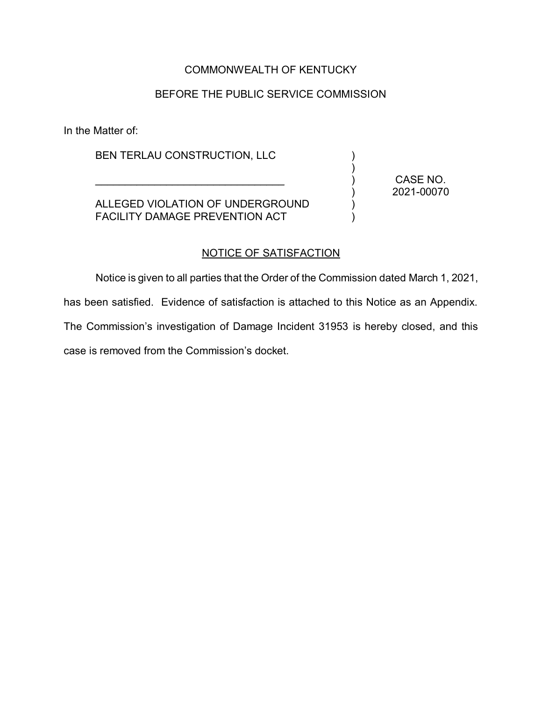## COMMONWEALTH OF KENTUCKY

# BEFORE THE PUBLIC SERVICE COMMISSION

In the Matter of:

BEN TERLAU CONSTRUCTION, LLC

 $\mathcal{L}_\text{max}$  and  $\mathcal{L}_\text{max}$  and  $\mathcal{L}_\text{max}$  and  $\mathcal{L}_\text{max}$ 

ALLEGED VIOLATION OF UNDERGROUND FACILITY DAMAGE PREVENTION ACT

CASE NO. 2021-00070

) ) ) ) ) )

#### NOTICE OF SATISFACTION

Notice is given to all parties that the Order of the Commission dated March 1, 2021,

has been satisfied. Evidence of satisfaction is attached to this Notice as an Appendix.

The Commission's investigation of Damage Incident 31953 is hereby closed, and this case is removed from the Commission's docket.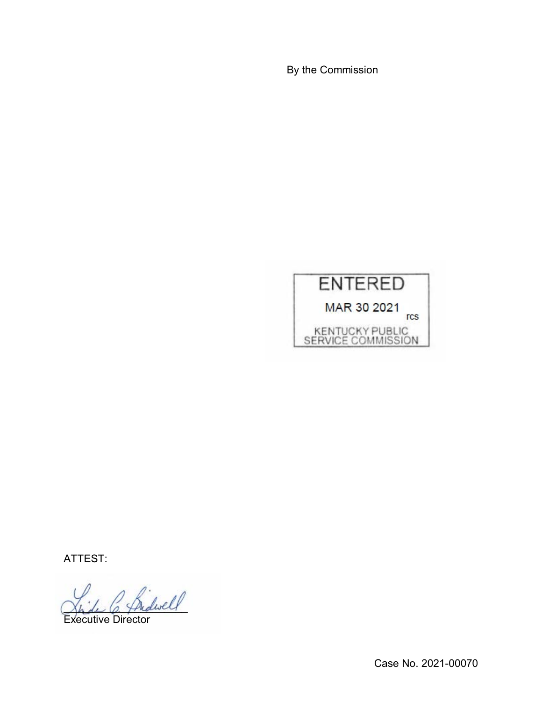By the Commission



ATTEST:

Inderell

Executive Director

Case No. 2021-00070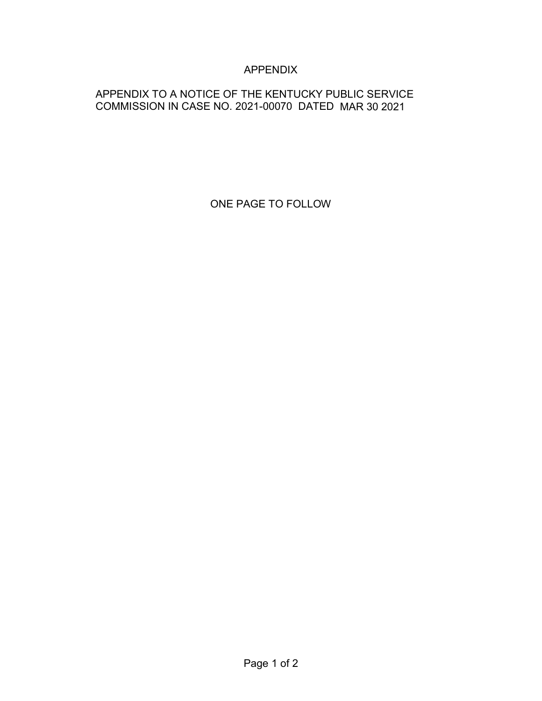# APPENDIX

# APPENDIX TO A NOTICE OF THE KENTUCKY PUBLIC SERVICE COMMISSION IN CASE NO. 2021-00070 DATED MAR 30 2021

ONE PAGE TO FOLLOW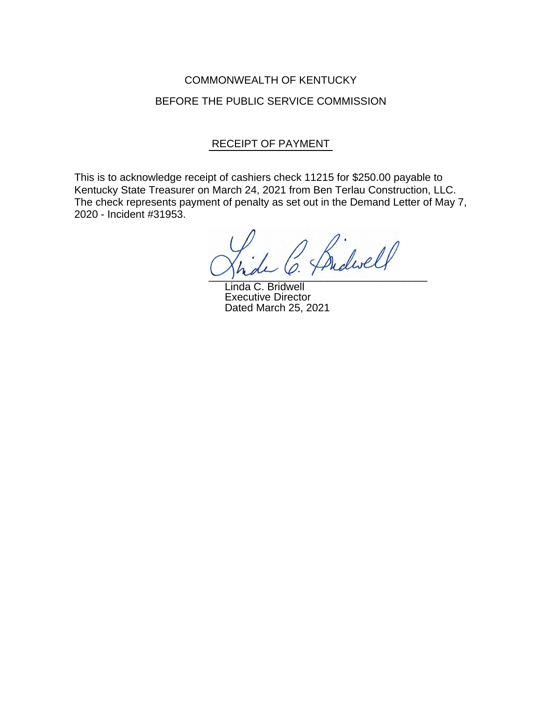# COMMONWEALTH OF KENTUCKY BEFORE THE PUBLIC SERVICE COMMISSION

### RECEIPT OF PAYMENT

This is to acknowledge receipt of cashiers check 11215 for \$250.00 payable to Kentucky State Treasurer on March 24, 2021 from Ben Terlau Construction, LLC. The check represents payment of penalty as set out in the Demand Letter of May 7, 2020 - Incident #31953.

Budwell  $\cup$  place  $\ell$  :

Linda C. Bridwell Executive Director Dated March 25, 2021